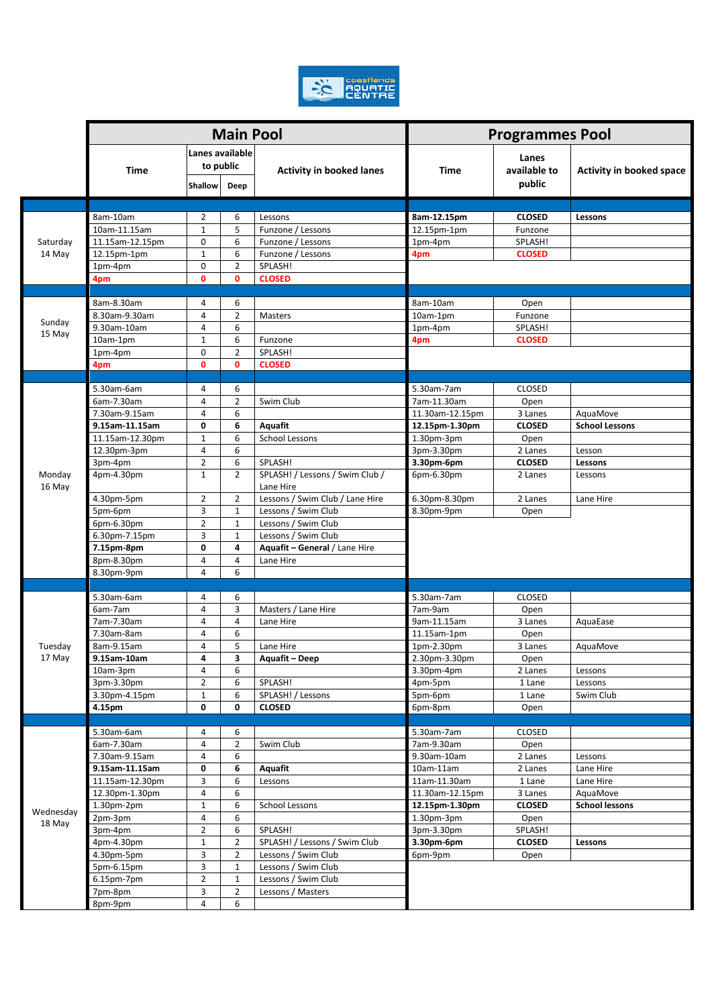

|                     |                 |                                         | <b>Main Pool</b>    |                                            | <b>Programmes Pool</b> |                                 |                                 |  |
|---------------------|-----------------|-----------------------------------------|---------------------|--------------------------------------------|------------------------|---------------------------------|---------------------------------|--|
|                     | <b>Time</b>     | Lanes available<br>to public<br>Shallow | Deep                | <b>Activity in booked lanes</b>            | Time                   | Lanes<br>available to<br>public | <b>Activity in booked space</b> |  |
|                     |                 |                                         |                     |                                            |                        |                                 |                                 |  |
|                     | 8am-10am        | $\overline{2}$                          | 6                   | Lessons                                    | 8am-12.15pm            | <b>CLOSED</b>                   | Lessons                         |  |
|                     | 10am-11.15am    | $1\,$                                   | 5                   | Funzone / Lessons                          | 12.15pm-1pm            | Funzone                         |                                 |  |
| Saturday<br>14 May  | 11.15am-12.15pm | 0                                       | 6                   | Funzone / Lessons                          | 1pm-4pm                | SPLASH!                         |                                 |  |
|                     | 12.15pm-1pm     | $\mathbf{1}$                            | 6                   | Funzone / Lessons                          | 4pm                    | <b>CLOSED</b>                   |                                 |  |
|                     | 1pm-4pm         | 0                                       | $\overline{2}$      | SPLASH!                                    |                        |                                 |                                 |  |
|                     | 4pm             | 0                                       | $\mathbf{0}$        | <b>CLOSED</b>                              |                        |                                 |                                 |  |
|                     |                 |                                         |                     |                                            |                        |                                 |                                 |  |
|                     | 8am-8.30am      | 4                                       | 6                   |                                            | 8am-10am               | Open                            |                                 |  |
| Sunday              | 8.30am-9.30am   | 4                                       | $\overline{2}$      | Masters                                    | 10am-1pm               | Funzone                         |                                 |  |
| 15 May              | 9.30am-10am     | 4                                       | 6                   |                                            | 1pm-4pm                | SPLASH!                         |                                 |  |
|                     | 10am-1pm        | $\mathbf 1$                             | 6                   | Funzone                                    | 4pm                    | <b>CLOSED</b>                   |                                 |  |
|                     | 1pm-4pm         | 0                                       | $\overline{2}$      | SPLASH!                                    |                        |                                 |                                 |  |
|                     | 4pm             | 0                                       | $\mathbf{0}$        | <b>CLOSED</b>                              |                        |                                 |                                 |  |
|                     |                 |                                         |                     |                                            |                        |                                 |                                 |  |
|                     | 5.30am-6am      | 4                                       | 6                   |                                            | 5.30am-7am             | <b>CLOSED</b>                   |                                 |  |
|                     | 6am-7.30am      | 4                                       | $\overline{2}$      | Swim Club                                  | 7am-11.30am            | Open                            |                                 |  |
|                     | 7.30am-9.15am   | 4                                       | 6                   |                                            | 11.30am-12.15pm        | 3 Lanes                         | AquaMove                        |  |
|                     | 9.15am-11.15am  | 0                                       | 6                   | Aquafit                                    | 12.15pm-1.30pm         | <b>CLOSED</b>                   | <b>School Lessons</b>           |  |
|                     | 11.15am-12.30pm | $\mathbf 1$                             | 6                   | <b>School Lessons</b>                      | 1.30pm-3pm             | Open                            |                                 |  |
|                     | 12.30pm-3pm     | 4                                       | 6                   |                                            | 3pm-3.30pm             | 2 Lanes                         | Lesson                          |  |
|                     | 3pm-4pm         | $\overline{2}$<br>$\mathbf{1}$          | 6<br>$\overline{2}$ | SPLASH!<br>SPLASH! / Lessons / Swim Club / | 3.30pm-6pm             | <b>CLOSED</b>                   | Lessons                         |  |
| Monday              | 4pm-4.30pm      |                                         |                     | Lane Hire                                  | 6pm-6.30pm             | 2 Lanes                         | Lessons                         |  |
| 16 May              | 4.30pm-5pm      | $\overline{2}$                          | $\overline{2}$      | Lessons / Swim Club / Lane Hire            | 6.30pm-8.30pm          | 2 Lanes                         | Lane Hire                       |  |
|                     | 5pm-6pm         | 3                                       | $\mathbf{1}$        | Lessons / Swim Club                        | 8.30pm-9pm             | Open                            |                                 |  |
|                     | 6pm-6.30pm      | $\overline{2}$                          | $\mathbf{1}$        | Lessons / Swim Club                        |                        |                                 |                                 |  |
|                     | 6.30pm-7.15pm   | 3                                       | $\mathbf{1}$        | Lessons / Swim Club                        |                        |                                 |                                 |  |
|                     | 7.15pm-8pm      | 0                                       | 4                   | Aquafit - General / Lane Hire              |                        |                                 |                                 |  |
|                     | 8pm-8.30pm      | 4                                       | 4                   | Lane Hire                                  |                        |                                 |                                 |  |
|                     | 8.30pm-9pm      | $\overline{4}$                          | 6                   |                                            |                        |                                 |                                 |  |
|                     |                 |                                         |                     |                                            |                        |                                 |                                 |  |
|                     | 5.30am-6am      | 4                                       | 6                   |                                            | 5.30am-7am             | <b>CLOSED</b>                   |                                 |  |
|                     | 6am-7am         | 4                                       | 3                   | Masters / Lane Hire                        | 7am-9am                | Open                            |                                 |  |
|                     | 7am-7.30am      | 4                                       | 4                   | Lane Hire                                  | 9am-11.15am            | 3 Lanes                         | AquaEase                        |  |
|                     | 7.30am-8am      | 4                                       | 6                   |                                            | 11.15am-1pm            | Open                            |                                 |  |
| Tuesday<br>17 May   | 8am-9.15am      | 4                                       | 5                   | Lane Hire                                  | 1pm-2.30pm             | 3 Lanes                         | AquaMove                        |  |
|                     | 9.15am-10am     | 4                                       | 3                   | Aquafit – Deep                             | 2.30pm-3.30pm          | Open                            |                                 |  |
|                     | 10am-3pm        | 4                                       | 6                   |                                            | 3.30pm-4pm             | 2 Lanes                         | Lessons                         |  |
|                     | 3pm-3.30pm      | $\overline{2}$                          | 6                   | SPLASH!                                    | 4pm-5pm                | 1 Lane                          | Lessons                         |  |
|                     | 3.30pm-4.15pm   | $\mathbf 1$                             | 6                   | SPLASH! / Lessons                          | 5pm-6pm                | 1 Lane                          | Swim Club                       |  |
|                     | 4.15pm          | 0                                       | 0                   | <b>CLOSED</b>                              | 6pm-8pm                | Open                            |                                 |  |
|                     |                 |                                         |                     |                                            |                        |                                 |                                 |  |
|                     | 5.30am-6am      | 4                                       | 6                   |                                            | 5.30am-7am             | <b>CLOSED</b>                   |                                 |  |
|                     | 6am-7.30am      | 4                                       | $\overline{2}$      | Swim Club                                  | 7am-9.30am             | Open                            |                                 |  |
|                     | 7.30am-9.15am   | 4                                       | 6                   |                                            | 9.30am-10am            | 2 Lanes                         | Lessons                         |  |
|                     | 9.15am-11.15am  | 0                                       | 6                   | Aquafit                                    | $10am-11am$            | 2 Lanes                         | Lane Hire                       |  |
|                     | 11.15am-12.30pm | 3                                       | 6                   | Lessons                                    | 11am-11.30am           | 1 Lane                          | Lane Hire                       |  |
| Wednesday<br>18 May | 12.30pm-1.30pm  | 4                                       | 6                   |                                            | 11.30am-12.15pm        | 3 Lanes                         | AquaMove                        |  |
|                     | 1.30pm-2pm      | $\mathbf 1$                             | 6                   | School Lessons                             | 12.15pm-1.30pm         | <b>CLOSED</b>                   | <b>School lessons</b>           |  |
|                     | 2pm-3pm         | 4                                       | 6                   |                                            | $1.30pm-3pm$           | Open                            |                                 |  |
|                     | 3pm-4pm         | $\overline{2}$                          | 6                   | SPLASH!                                    | 3pm-3.30pm             | SPLASH!                         |                                 |  |
|                     | 4pm-4.30pm      | $\mathbf{1}$                            | 2                   | SPLASH! / Lessons / Swim Club              | 3.30pm-6pm             | <b>CLOSED</b>                   | Lessons                         |  |
|                     | 4.30pm-5pm      | 3                                       | $\overline{2}$      | Lessons / Swim Club                        | 6pm-9pm                | Open                            |                                 |  |
|                     | 5pm-6.15pm      | 3                                       | $\mathbf{1}$        | Lessons / Swim Club                        |                        |                                 |                                 |  |
|                     | 6.15pm-7pm      | $\overline{2}$                          | $\mathbf 1$         | Lessons / Swim Club                        |                        |                                 |                                 |  |
|                     | 7pm-8pm         | 3                                       | $\overline{2}$      | Lessons / Masters                          |                        |                                 |                                 |  |
|                     | 8pm-9pm         | 4                                       | 6                   |                                            |                        |                                 |                                 |  |